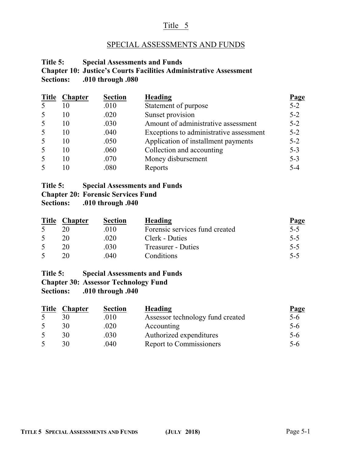# Title 5

## SPECIAL ASSESSMENTS AND FUNDS

## **Title 5: Special Assessments and Funds Chapter 10: Justice's Courts Facilities Administrative Assessment Sections: .010 through .080**

| <b>Title</b> | <b>Chapter</b> | <b>Section</b> | <b>Heading</b>                          | Page    |
|--------------|----------------|----------------|-----------------------------------------|---------|
| 5            | 10             | .010           | Statement of purpose                    | $5 - 2$ |
| 5            | 10             | .020           | Sunset provision                        | $5 - 2$ |
| 5            | 10             | .030           | Amount of administrative assessment     | $5 - 2$ |
| 5            | 10             | .040           | Exceptions to administrative assessment | $5 - 2$ |
| 5            | 10             | .050           | Application of installment payments     | $5 - 2$ |
| 5            | 10             | .060           | Collection and accounting               | $5 - 3$ |
| 5            | 10             | .070           | Money disbursement                      | $5 - 3$ |
| 5            | 10             | .080           | Reports                                 | $5 - 4$ |

## **Title 5: Special Assessments and Funds**

**Chapter 20: Forensic Services Fund**

**Sections: .010 through .040**

| <b>Title</b> | <b>Chapter</b> | <b>Section</b> | Heading                        | Page    |
|--------------|----------------|----------------|--------------------------------|---------|
|              |                | .010           | Forensic services fund created | $5 - 5$ |
|              |                | .020           | Clerk - Duties                 | $5 - 5$ |
|              |                | .030           | <b>Treasurer - Duties</b>      | $5 - 5$ |
|              |                | .040           | Conditions                     | $5 - 5$ |

#### **Title 5: Special Assessments and Funds**

### **Chapter 30: Assessor Technology Fund**

**Sections: .010 through .040**

| <b>Title</b> | <b>Chapter</b> | <b>Section</b> | Heading                          | Page    |
|--------------|----------------|----------------|----------------------------------|---------|
|              |                | .010           | Assessor technology fund created | $5 - 6$ |
|              | 30             | .020           | Accounting                       | $5 - 6$ |
|              | 30             | .030           | Authorized expenditures          | $5-6$   |
|              | 30             | .040           | Report to Commissioners          | $5-6$   |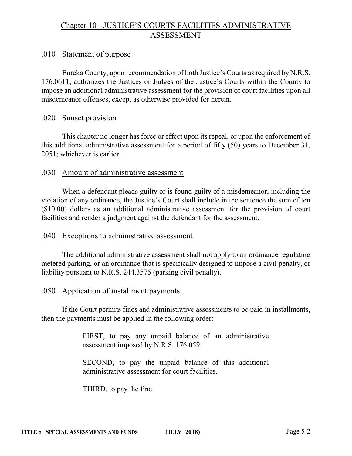# Chapter 10 - JUSTICE'S COURTS FACILITIES ADMINISTRATIVE ASSESSMENT

## .010 Statement of purpose

Eureka County, upon recommendation of both Justice's Courts as required by N.R.S. 176.0611, authorizes the Justices or Judges of the Justice's Courts within the County to impose an additional administrative assessment for the provision of court facilities upon all misdemeanor offenses, except as otherwise provided for herein.

### .020 Sunset provision

This chapter no longer has force or effect upon its repeal, or upon the enforcement of this additional administrative assessment for a period of fifty (50) years to December 31, 2051; whichever is earlier.

### .030 Amount of administrative assessment

When a defendant pleads guilty or is found guilty of a misdemeanor, including the violation of any ordinance, the Justice's Court shall include in the sentence the sum of ten (\$10.00) dollars as an additional administrative assessment for the provision of court facilities and render a judgment against the defendant for the assessment.

#### .040 Exceptions to administrative assessment

The additional administrative assessment shall not apply to an ordinance regulating metered parking, or an ordinance that is specifically designed to impose a civil penalty, or liability pursuant to N.R.S. 244.3575 (parking civil penalty).

#### .050 Application of installment payments

If the Court permits fines and administrative assessments to be paid in installments, then the payments must be applied in the following order:

> FIRST, to pay any unpaid balance of an administrative assessment imposed by N.R.S. 176.059.

> SECOND, to pay the unpaid balance of this additional administrative assessment for court facilities.

THIRD, to pay the fine.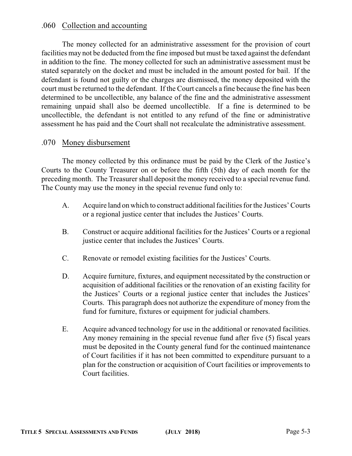## .060 Collection and accounting

The money collected for an administrative assessment for the provision of court facilities may not be deducted from the fine imposed but must be taxed against the defendant in addition to the fine. The money collected for such an administrative assessment must be stated separately on the docket and must be included in the amount posted for bail. If the defendant is found not guilty or the charges are dismissed, the money deposited with the court must be returned to the defendant. If the Court cancels a fine because the fine has been determined to be uncollectible, any balance of the fine and the administrative assessment remaining unpaid shall also be deemed uncollectible. If a fine is determined to be uncollectible, the defendant is not entitled to any refund of the fine or administrative assessment he has paid and the Court shall not recalculate the administrative assessment.

### .070 Money disbursement

The money collected by this ordinance must be paid by the Clerk of the Justice's Courts to the County Treasurer on or before the fifth (5th) day of each month for the preceding month. The Treasurer shall deposit the money received to a special revenue fund. The County may use the money in the special revenue fund only to:

- A. Acquire land on which to construct additional facilities for the Justices' Courts or a regional justice center that includes the Justices' Courts.
- B. Construct or acquire additional facilities for the Justices' Courts or a regional justice center that includes the Justices' Courts.
- C. Renovate or remodel existing facilities for the Justices' Courts.
- D. Acquire furniture, fixtures, and equipment necessitated by the construction or acquisition of additional facilities or the renovation of an existing facility for the Justices' Courts or a regional justice center that includes the Justices' Courts. This paragraph does not authorize the expenditure of money from the fund for furniture, fixtures or equipment for judicial chambers.
- E. Acquire advanced technology for use in the additional or renovated facilities. Any money remaining in the special revenue fund after five (5) fiscal years must be deposited in the County general fund for the continued maintenance of Court facilities if it has not been committed to expenditure pursuant to a plan for the construction or acquisition of Court facilities or improvements to Court facilities.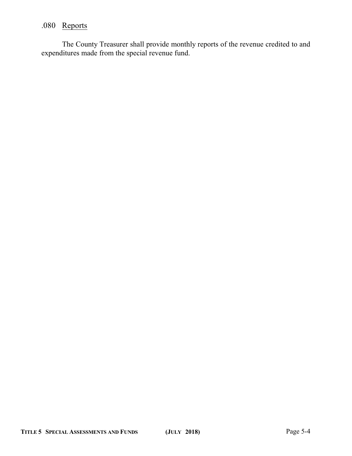# .080 Reports

The County Treasurer shall provide monthly reports of the revenue credited to and expenditures made from the special revenue fund.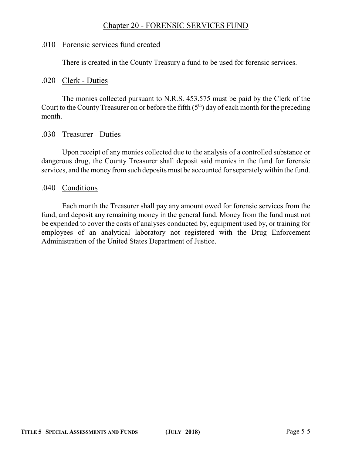# Chapter 20 - FORENSIC SERVICES FUND

### .010 Forensic services fund created

There is created in the County Treasury a fund to be used for forensic services.

#### .020 Clerk - Duties

The monies collected pursuant to N.R.S. 453.575 must be paid by the Clerk of the Court to the County Treasurer on or before the fifth  $(5<sup>th</sup>)$  day of each month for the preceding month.

### .030 Treasurer - Duties

Upon receipt of any monies collected due to the analysis of a controlled substance or dangerous drug, the County Treasurer shall deposit said monies in the fund for forensic services, and the money from such deposits must be accounted for separately within the fund.

### .040 Conditions

Each month the Treasurer shall pay any amount owed for forensic services from the fund, and deposit any remaining money in the general fund. Money from the fund must not be expended to cover the costs of analyses conducted by, equipment used by, or training for employees of an analytical laboratory not registered with the Drug Enforcement Administration of the United States Department of Justice.